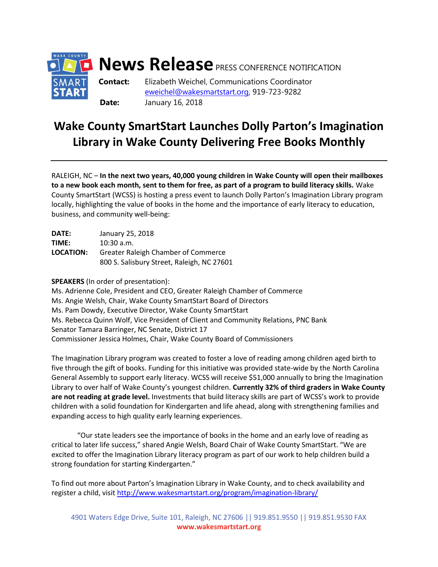

## **Wake County SmartStart Launches Dolly Parton's Imagination Library in Wake County Delivering Free Books Monthly**

RALEIGH, NC – **In the next two years, 40,000 young children in Wake County will open their mailboxes to a new book each month, sent to them for free, as part of a program to build literacy skills.** Wake County SmartStart (WCSS) is hosting a press event to launch Dolly Parton's Imagination Library program locally, highlighting the value of books in the home and the importance of early literacy to education, business, and community well-being:

| DATE:     | January 25, 2018                           |
|-----------|--------------------------------------------|
| TIME:     | $10:30$ a.m.                               |
| LOCATION: | Greater Raleigh Chamber of Commerce        |
|           | 800 S. Salisbury Street, Raleigh, NC 27601 |

**SPEAKERS** (In order of presentation):

Ms. Adrienne Cole, President and CEO, Greater Raleigh Chamber of Commerce Ms. Angie Welsh, Chair, Wake County SmartStart Board of Directors Ms. Pam Dowdy, Executive Director, Wake County SmartStart Ms. Rebecca Quinn Wolf, Vice President of Client and Community Relations, PNC Bank Senator Tamara Barringer, NC Senate, District 17 Commissioner Jessica Holmes, Chair, Wake County Board of Commissioners

The Imagination Library program was created to foster a love of reading among children aged birth to five through the gift of books. Funding for this initiative was provided state-wide by the North Carolina General Assembly to support early literacy. WCSS will receive \$51,000 annually to bring the Imagination Library to over half of Wake County's youngest children. **Currently 32% of third graders in Wake County are not reading at grade level.** Investments that build literacy skills are part of WCSS's work to provide children with a solid foundation for Kindergarten and life ahead, along with strengthening families and expanding access to high quality early learning experiences.

"Our state leaders see the importance of books in the home and an early love of reading as critical to later life success," shared Angie Welsh, Board Chair of Wake County SmartStart. "We are excited to offer the Imagination Library literacy program as part of our work to help children build a strong foundation for starting Kindergarten."

To find out more about Parton's Imagination Library in Wake County, and to check availability and register a child, visi[t http://www.wakesmartstart.org/program/imagination-library/](http://www.wakesmartstart.org/program/imagination-library/)

4901 Waters Edge Drive, Suite 101, Raleigh, NC 27606 || 919.851.9550 || 919.851.9530 FAX **www.wakesmartstart.org**